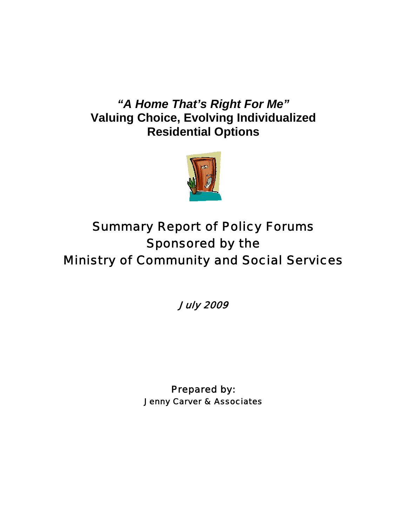# *"A Home That's Right For Me"*  **Valuing Choice, Evolving Individualized Residential Options**



# Summary Report of Policy Forums Sponsored by the Ministry of Community and Social Services

July 2009

Prepared by: Jenny Carver & Associates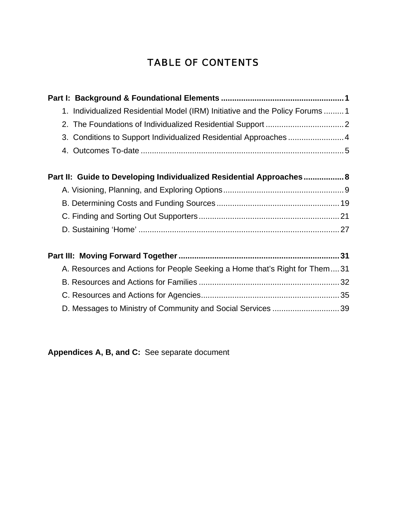# TABLE OF CONTENTS

| 1. Individualized Residential Model (IRM) Initiative and the Policy Forums  1 |  |
|-------------------------------------------------------------------------------|--|
|                                                                               |  |
| 3. Conditions to Support Individualized Residential Approaches  4             |  |
|                                                                               |  |
| Part II: Guide to Developing Individualized Residential Approaches 8          |  |
|                                                                               |  |
|                                                                               |  |
|                                                                               |  |
|                                                                               |  |
|                                                                               |  |
| A. Resources and Actions for People Seeking a Home that's Right for Them31    |  |
|                                                                               |  |
|                                                                               |  |
| D. Messages to Ministry of Community and Social Services 39                   |  |

**Appendices A, B, and C:** See separate document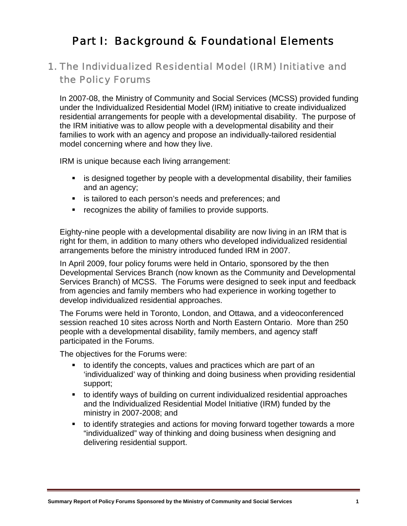# Part I: Background & Foundational Elements

# 1. The Individualized Residential Model (IRM) Initiative and the Policy Forums

In 2007-08, the Ministry of Community and Social Services (MCSS) provided funding under the Individualized Residential Model (IRM) initiative to create individualized residential arrangements for people with a developmental disability. The purpose of the IRM initiative was to allow people with a developmental disability and their families to work with an agency and propose an individually-tailored residential model concerning where and how they live.

IRM is unique because each living arrangement:

- is designed together by people with a developmental disability, their families and an agency;
- is tailored to each person's needs and preferences; and
- **•** recognizes the ability of families to provide supports.

Eighty-nine people with a developmental disability are now living in an IRM that is right for them, in addition to many others who developed individualized residential arrangements before the ministry introduced funded IRM in 2007.

In April 2009, four policy forums were held in Ontario, sponsored by the then Developmental Services Branch (now known as the Community and Developmental Services Branch) of MCSS. The Forums were designed to seek input and feedback from agencies and family members who had experience in working together to develop individualized residential approaches.

The Forums were held in Toronto, London, and Ottawa, and a videoconferenced session reached 10 sites across North and North Eastern Ontario. More than 250 people with a developmental disability, family members, and agency staff participated in the Forums.

The objectives for the Forums were:

- to identify the concepts, values and practices which are part of an 'individualized' way of thinking and doing business when providing residential support;
- to identify ways of building on current individualized residential approaches and the Individualized Residential Model Initiative (IRM) funded by the ministry in 2007-2008; and
- to identify strategies and actions for moving forward together towards a more "individualized" way of thinking and doing business when designing and delivering residential support.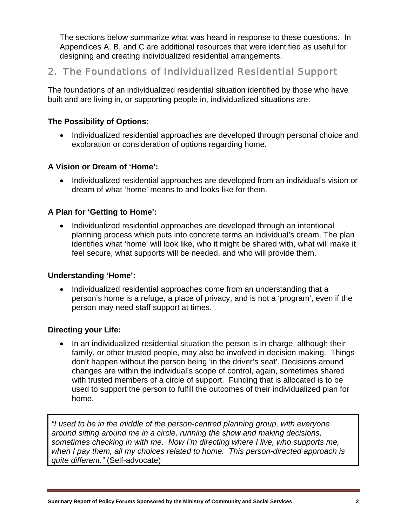The sections below summarize what was heard in response to these questions. In Appendices A, B, and C are additional resources that were identified as useful for designing and creating individualized residential arrangements.

# 2. The Foundations of Individualized Residential Support

The foundations of an individualized residential situation identified by those who have built and are living in, or supporting people in, individualized situations are:

# **The Possibility of Options:**

• Individualized residential approaches are developed through personal choice and exploration or consideration of options regarding home.

# **A Vision or Dream of 'Home':**

• Individualized residential approaches are developed from an individual's vision or dream of what 'home' means to and looks like for them.

# **A Plan for 'Getting to Home':**

• Individualized residential approaches are developed through an intentional planning process which puts into concrete terms an individual's dream. The plan identifies what 'home' will look like, who it might be shared with, what will make it feel secure, what supports will be needed, and who will provide them.

# **Understanding 'Home':**

• Individualized residential approaches come from an understanding that a person's home is a refuge, a place of privacy, and is not a 'program', even if the person may need staff support at times.

# **Directing your Life:**

• In an individualized residential situation the person is in charge, although their family, or other trusted people, may also be involved in decision making. Things don't happen without the person being 'in the driver's seat'. Decisions around changes are within the individual's scope of control, again, sometimes shared with trusted members of a circle of support. Funding that is allocated is to be used to support the person to fulfill the outcomes of their individualized plan for home.

*"I used to be in the middle of the person-centred planning group, with everyone around sitting around me in a circle, running the show and making decisions, sometimes checking in with me. Now I'm directing where I live, who supports me, when I pay them, all my choices related to home. This person-directed approach is quite different."* (Self-advocate)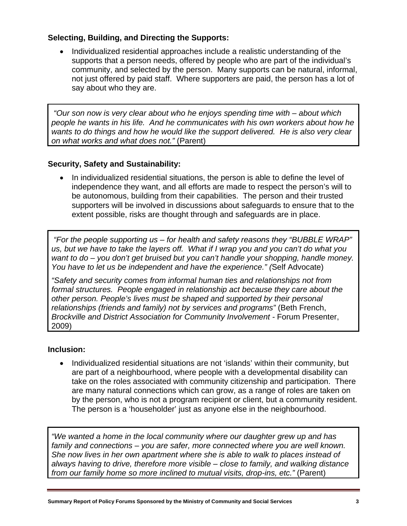# **Selecting, Building, and Directing the Supports:**

• Individualized residential approaches include a realistic understanding of the supports that a person needs, offered by people who are part of the individual's community, and selected by the person. Many supports can be natural, informal, not just offered by paid staff. Where supporters are paid, the person has a lot of say about who they are.

 *"Our son now is very clear about who he enjoys spending time with – about which people he wants in his life. And he communicates with his own workers about how he wants to do things and how he would like the support delivered. He is also very clear on what works and what does not."* (Parent)

# **Security, Safety and Sustainability:**

• In individualized residential situations, the person is able to define the level of independence they want, and all efforts are made to respect the person's will to be autonomous, building from their capabilities. The person and their trusted supporters will be involved in discussions about safeguards to ensure that to the extent possible, risks are thought through and safeguards are in place.

 *"For the people supporting us – for health and safety reasons they "BUBBLE WRAP" us, but we have to take the layers off. What if I wrap you and you can't do what you want to do – you don't get bruised but you can't handle your shopping, handle money. You have to let us be independent and have the experience." (*Self Advocate)

*"Safety and security comes from informal human ties and relationships not from formal structures. People engaged in relationship act because they care about the other person. People's lives must be shaped and supported by their personal relationships (friends and family) not by services and programs"* (Beth French, *Brockville and District Association for Community Involvement -* Forum Presenter, 2009)

#### **Inclusion:**

• Individualized residential situations are not 'islands' within their community, but are part of a neighbourhood, where people with a developmental disability can take on the roles associated with community citizenship and participation. There are many natural connections which can grow, as a range of roles are taken on by the person, who is not a program recipient or client, but a community resident. The person is a 'householder' just as anyone else in the neighbourhood.

*"We wanted a home in the local community where our daughter grew up and has family and connections – you are safer, more connected where you are well known. She now lives in her own apartment where she is able to walk to places instead of always having to drive, therefore more visible – close to family, and walking distance from our family home so more inclined to mutual visits, drop-ins, etc."* (Parent)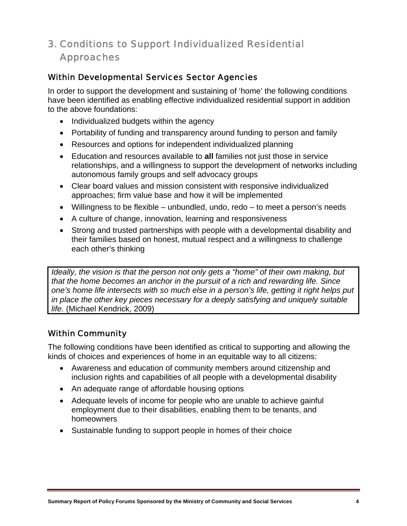# 3. Conditions to Support Individualized Residential Approaches

# Within Developmental Services Sector Agencies

In order to support the development and sustaining of 'home' the following conditions have been identified as enabling effective individualized residential support in addition to the above foundations:

- Individualized budgets within the agency
- Portability of funding and transparency around funding to person and family
- Resources and options for independent individualized planning
- Education and resources available to **all** families not just those in service relationships, and a willingness to support the development of networks including autonomous family groups and self advocacy groups
- Clear board values and mission consistent with responsive individualized approaches; firm value base and how it will be implemented
- Willingness to be flexible unbundled, undo, redo to meet a person's needs
- A culture of change, innovation, learning and responsiveness
- Strong and trusted partnerships with people with a developmental disability and their families based on honest, mutual respect and a willingness to challenge each other's thinking

*Ideally, the vision is that the person not only gets a "home" of their own making, but that the home becomes an anchor in the pursuit of a rich and rewarding life. Since one's home life intersects with so much else in a person's life, getting it right helps put in place the other key pieces necessary for a deeply satisfying and uniquely suitable life.* (Michael Kendrick, 2009)

# Within Community

The following conditions have been identified as critical to supporting and allowing the kinds of choices and experiences of home in an equitable way to all citizens:

- Awareness and education of community members around citizenship and inclusion rights and capabilities of all people with a developmental disability
- An adequate range of affordable housing options
- Adequate levels of income for people who are unable to achieve gainful employment due to their disabilities, enabling them to be tenants, and homeowners
- Sustainable funding to support people in homes of their choice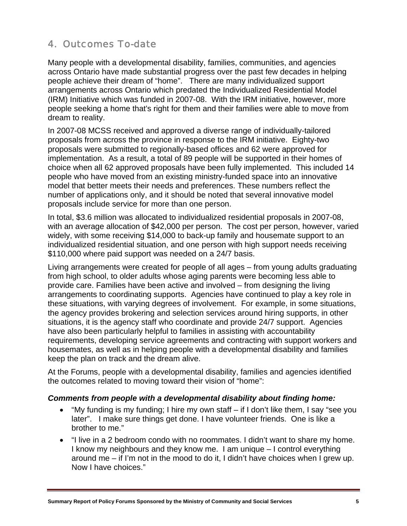# 4. Outcomes To-date

Many people with a developmental disability, families, communities, and agencies across Ontario have made substantial progress over the past few decades in helping people achieve their dream of "home". There are many individualized support arrangements across Ontario which predated the Individualized Residential Model (IRM) Initiative which was funded in 2007-08. With the IRM initiative, however, more people seeking a home that's right for them and their families were able to move from dream to reality.

In 2007-08 MCSS received and approved a diverse range of individually-tailored proposals from across the province in response to the IRM initiative. Eighty-two proposals were submitted to regionally-based offices and 62 were approved for implementation. As a result, a total of 89 people will be supported in their homes of choice when all 62 approved proposals have been fully implemented. This included 14 people who have moved from an existing ministry-funded space into an innovative model that better meets their needs and preferences. These numbers reflect the number of applications only, and it should be noted that several innovative model proposals include service for more than one person.

In total, \$3.6 million was allocated to individualized residential proposals in 2007-08, with an average allocation of \$42,000 per person. The cost per person, however, varied widely, with some receiving \$14,000 to back-up family and housemate support to an individualized residential situation, and one person with high support needs receiving \$110,000 where paid support was needed on a 24/7 basis.

Living arrangements were created for people of all ages – from young adults graduating from high school, to older adults whose aging parents were becoming less able to provide care. Families have been active and involved – from designing the living arrangements to coordinating supports. Agencies have continued to play a key role in these situations, with varying degrees of involvement. For example, in some situations, the agency provides brokering and selection services around hiring supports, in other situations, it is the agency staff who coordinate and provide 24/7 support. Agencies have also been particularly helpful to families in assisting with accountability requirements, developing service agreements and contracting with support workers and housemates, as well as in helping people with a developmental disability and families keep the plan on track and the dream alive.

At the Forums, people with a developmental disability, families and agencies identified the outcomes related to moving toward their vision of "home":

#### *Comments from people with a developmental disability about finding home:*

- "My funding is my funding; I hire my own staff if I don't like them, I say "see you later". I make sure things get done. I have volunteer friends. One is like a brother to me."
- "I live in a 2 bedroom condo with no roommates. I didn't want to share my home. I know my neighbours and they know me. I am unique – I control everything around me – if I'm not in the mood to do it, I didn't have choices when I grew up. Now I have choices."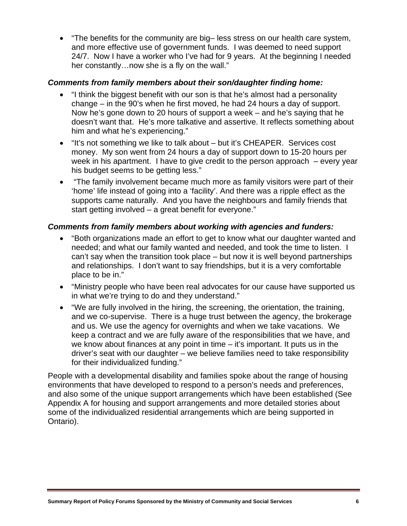• "The benefits for the community are big– less stress on our health care system, and more effective use of government funds. I was deemed to need support 24/7. Now I have a worker who I've had for 9 years. At the beginning I needed her constantly...now she is a fly on the wall."

#### *Comments from family members about their son/daughter finding home:*

- "I think the biggest benefit with our son is that he's almost had a personality change – in the 90's when he first moved, he had 24 hours a day of support. Now he's gone down to 20 hours of support a week – and he's saying that he doesn't want that. He's more talkative and assertive. It reflects something about him and what he's experiencing."
- "It's not something we like to talk about but it's CHEAPER. Services cost money. My son went from 24 hours a day of support down to 15-20 hours per week in his apartment. I have to give credit to the person approach – every year his budget seems to be getting less."
- "The family involvement became much more as family visitors were part of their 'home' life instead of going into a 'facility'. And there was a ripple effect as the supports came naturally. And you have the neighbours and family friends that start getting involved – a great benefit for everyone."

### *Comments from family members about working with agencies and funders:*

- "Both organizations made an effort to get to know what our daughter wanted and needed; and what our family wanted and needed, and took the time to listen. I can't say when the transition took place – but now it is well beyond partnerships and relationships. I don't want to say friendships, but it is a very comfortable place to be in."
- "Ministry people who have been real advocates for our cause have supported us in what we're trying to do and they understand."
- "We are fully involved in the hiring, the screening, the orientation, the training, and we co-supervise. There is a huge trust between the agency, the brokerage and us. We use the agency for overnights and when we take vacations. We keep a contract and we are fully aware of the responsibilities that we have, and we know about finances at any point in time – it's important. It puts us in the driver's seat with our daughter – we believe families need to take responsibility for their individualized funding."

People with a developmental disability and families spoke about the range of housing environments that have developed to respond to a person's needs and preferences, and also some of the unique support arrangements which have been established (See Appendix A for housing and support arrangements and more detailed stories about some of the individualized residential arrangements which are being supported in Ontario).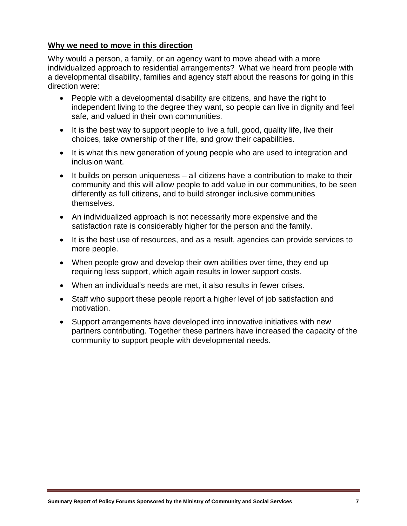## **Why we need to move in this direction**

Why would a person, a family, or an agency want to move ahead with a more individualized approach to residential arrangements? What we heard from people with a developmental disability, families and agency staff about the reasons for going in this direction were:

- People with a developmental disability are citizens, and have the right to independent living to the degree they want, so people can live in dignity and feel safe, and valued in their own communities.
- It is the best way to support people to live a full, good, quality life, live their choices, take ownership of their life, and grow their capabilities.
- It is what this new generation of young people who are used to integration and inclusion want.
- It builds on person uniqueness all citizens have a contribution to make to their community and this will allow people to add value in our communities, to be seen differently as full citizens, and to build stronger inclusive communities themselves.
- An individualized approach is not necessarily more expensive and the satisfaction rate is considerably higher for the person and the family.
- It is the best use of resources, and as a result, agencies can provide services to more people.
- When people grow and develop their own abilities over time, they end up requiring less support, which again results in lower support costs.
- When an individual's needs are met, it also results in fewer crises.
- Staff who support these people report a higher level of job satisfaction and motivation.
- Support arrangements have developed into innovative initiatives with new partners contributing. Together these partners have increased the capacity of the community to support people with developmental needs.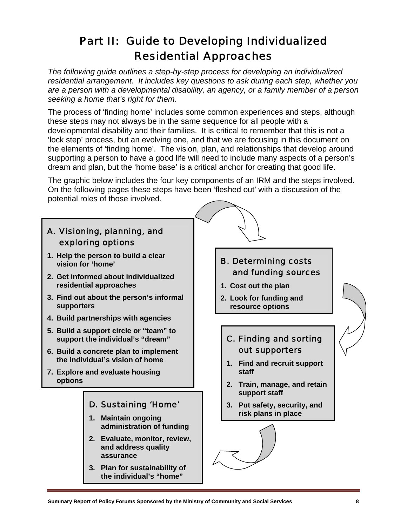# Part II: Guide to Developing Individualized Residential Approaches

*The following guide outlines a step-by-step process for developing an individualized residential arrangement. It includes key questions to ask during each step, whether you are a person with a developmental disability, an agency, or a family member of a person seeking a home that's right for them.* 

The process of 'finding home' includes some common experiences and steps, although these steps may not always be in the same sequence for all people with a developmental disability and their families. It is critical to remember that this is not a 'lock step' process, but an evolving one, and that we are focusing in this document on the elements of 'finding home'. The vision, plan, and relationships that develop around supporting a person to have a good life will need to include many aspects of a person's dream and plan, but the 'home base' is a critical anchor for creating that good life.

The graphic below includes the four key components of an IRM and the steps involved. On the following pages these steps have been 'fleshed out' with a discussion of the potential roles of those involved.



**Summary Report of Policy Forums Sponsored by the Ministry of Community and Social Services 8**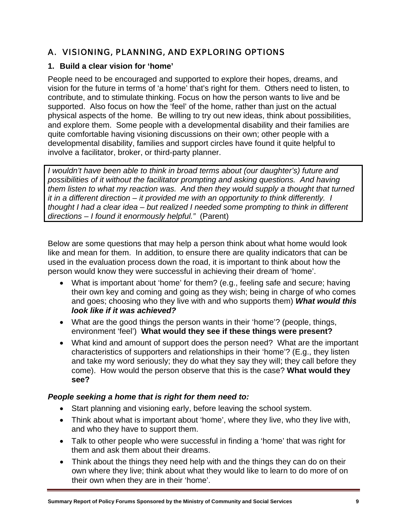# A. VISIONING, PLANNING, AND EXPLORING OPTIONS

# **1. Build a clear vision for 'home'**

People need to be encouraged and supported to explore their hopes, dreams, and vision for the future in terms of 'a home' that's right for them. Others need to listen, to contribute, and to stimulate thinking. Focus on how the person wants to live and be supported. Also focus on how the 'feel' of the home, rather than just on the actual physical aspects of the home. Be willing to try out new ideas, think about possibilities, and explore them. Some people with a developmental disability and their families are quite comfortable having visioning discussions on their own; other people with a developmental disability, families and support circles have found it quite helpful to involve a facilitator, broker, or third-party planner.

*I wouldn't have been able to think in broad terms about (our daughter's) future and possibilities of it without the facilitator prompting and asking questions. And having them listen to what my reaction was. And then they would supply a thought that turned it in a different direction – it provided me with an opportunity to think differently. I thought I had a clear idea – but realized I needed some prompting to think in different directions – I found it enormously helpful."* (Parent)

Below are some questions that may help a person think about what home would look like and mean for them. In addition, to ensure there are quality indicators that can be used in the evaluation process down the road, it is important to think about how the person would know they were successful in achieving their dream of 'home'.

- What is important about 'home' for them? (e.g., feeling safe and secure; having their own key and coming and going as they wish; being in charge of who comes and goes; choosing who they live with and who supports them) *What would this look like if it was achieved?*
- What are the good things the person wants in their 'home'? (people, things, environment 'feel') **What would they see if these things were present?**
- What kind and amount of support does the person need? What are the important characteristics of supporters and relationships in their 'home'? (E.g., they listen and take my word seriously; they do what they say they will; they call before they come). How would the person observe that this is the case? **What would they see?**

# *People seeking a home that is right for them need to:*

- Start planning and visioning early, before leaving the school system.
- Think about what is important about 'home', where they live, who they live with, and who they have to support them.
- Talk to other people who were successful in finding a 'home' that was right for them and ask them about their dreams.
- Think about the things they need help with and the things they can do on their own where they live; think about what they would like to learn to do more of on their own when they are in their 'home'.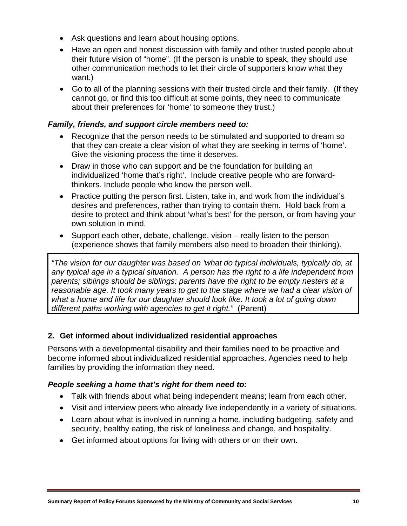- Ask questions and learn about housing options.
- Have an open and honest discussion with family and other trusted people about their future vision of "home". (If the person is unable to speak, they should use other communication methods to let their circle of supporters know what they want.)
- Go to all of the planning sessions with their trusted circle and their family. (If they cannot go, or find this too difficult at some points, they need to communicate about their preferences for 'home' to someone they trust.)

#### *Family, friends, and support circle members need to:*

- Recognize that the person needs to be stimulated and supported to dream so that they can create a clear vision of what they are seeking in terms of 'home'. Give the visioning process the time it deserves.
- Draw in those who can support and be the foundation for building an individualized 'home that's right'. Include creative people who are forwardthinkers. Include people who know the person well.
- Practice putting the person first. Listen, take in, and work from the individual's desires and preferences, rather than trying to contain them. Hold back from a desire to protect and think about 'what's best' for the person, or from having your own solution in mind.
- Support each other, debate, challenge, vision really listen to the person (experience shows that family members also need to broaden their thinking).

*"The vision for our daughter was based on 'what do typical individuals, typically do, at any typical age in a typical situation. A person has the right to a life independent from parents; siblings should be siblings; parents have the right to be empty nesters at a reasonable age. It took many years to get to the stage where we had a clear vision of what a home and life for our daughter should look like. It took a lot of going down different paths working with agencies to get it right."* (Parent)

# **2. Get informed about individualized residential approaches**

Persons with a developmental disability and their families need to be proactive and become informed about individualized residential approaches. Agencies need to help families by providing the information they need.

#### *People seeking a home that's right for them need to:*

- Talk with friends about what being independent means; learn from each other.
- Visit and interview peers who already live independently in a variety of situations.
- Learn about what is involved in running a home, including budgeting, safety and security, healthy eating, the risk of loneliness and change, and hospitality.
- Get informed about options for living with others or on their own.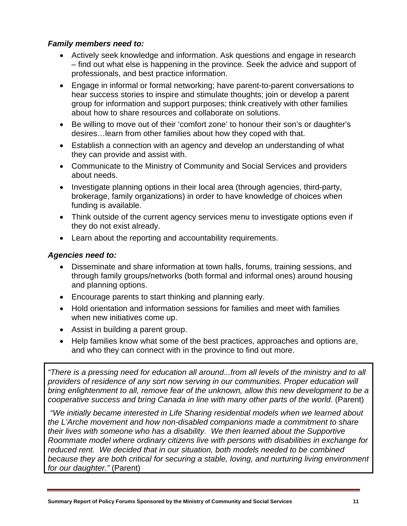### *Family members need to:*

- Actively seek knowledge and information. Ask questions and engage in research – find out what else is happening in the province. Seek the advice and support of professionals, and best practice information.
- Engage in informal or formal networking; have parent-to-parent conversations to hear success stories to inspire and stimulate thoughts; join or develop a parent group for information and support purposes; think creatively with other families about how to share resources and collaborate on solutions.
- Be willing to move out of their 'comfort zone' to honour their son's or daughter's desires…learn from other families about how they coped with that.
- Establish a connection with an agency and develop an understanding of what they can provide and assist with.
- Communicate to the Ministry of Community and Social Services and providers about needs.
- Investigate planning options in their local area (through agencies, third-party, brokerage, family organizations) in order to have knowledge of choices when funding is available.
- Think outside of the current agency services menu to investigate options even if they do not exist already.
- Learn about the reporting and accountability requirements.

#### *Agencies need to:*

- Disseminate and share information at town halls, forums, training sessions, and through family groups/networks (both formal and informal ones) around housing and planning options.
- Encourage parents to start thinking and planning early.
- Hold orientation and information sessions for families and meet with families when new initiatives come up.
- Assist in building a parent group.
- Help families know what some of the best practices, approaches and options are, and who they can connect with in the province to find out more.

*"There is a pressing need for education all around...from all levels of the ministry and to all providers of residence of any sort now serving in our communities. Proper education will bring enlightenment to all, remove fear of the unknown, allow this new development to be a cooperative success and bring Canada in line with many other parts of the world*. (Parent)

 *"We initially became interested in Life Sharing residential models when we learned about the L'Arche movement and how non-disabled companions made a commitment to share their lives with someone who has a disability. We then learned about the Supportive Roommate model where ordinary citizens live with persons with disabilities in exchange for reduced rent. We decided that in our situation, both models needed to be combined because they are both critical for securing a stable, loving, and nurturing living environment for our daughter."* (Parent)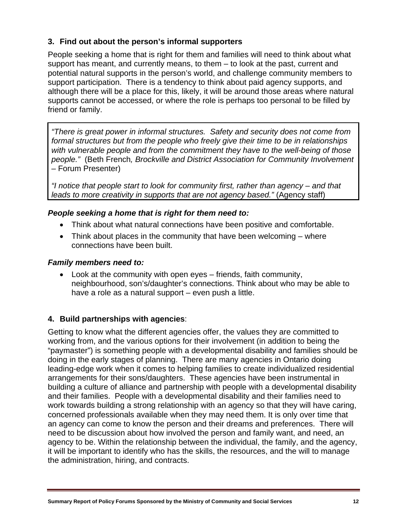# **3. Find out about the person's informal supporters**

People seeking a home that is right for them and families will need to think about what support has meant, and currently means, to them – to look at the past, current and potential natural supports in the person's world, and challenge community members to support participation. There is a tendency to think about paid agency supports, and although there will be a place for this, likely, it will be around those areas where natural supports cannot be accessed, or where the role is perhaps too personal to be filled by friend or family.

*"There is great power in informal structures. Safety and security does not come from formal structures but from the people who freely give their time to be in relationships with vulnerable people and from the commitment they have to the well-being of those people."* (Beth French*, Brockville and District Association for Community Involvement* – Forum Presenter)

*"I notice that people start to look for community first, rather than agency – and that leads to more creativity in supports that are not agency based."* (Agency staff)

### *People seeking a home that is right for them need to:*

- Think about what natural connections have been positive and comfortable.
- Think about places in the community that have been welcoming where connections have been built.

#### *Family members need to:*

• Look at the community with open eyes – friends, faith community, neighbourhood, son's/daughter's connections. Think about who may be able to have a role as a natural support – even push a little.

#### **4. Build partnerships with agencies**:

Getting to know what the different agencies offer, the values they are committed to working from, and the various options for their involvement (in addition to being the "paymaster") is something people with a developmental disability and families should be doing in the early stages of planning. There are many agencies in Ontario doing leading-edge work when it comes to helping families to create individualized residential arrangements for their sons/daughters. These agencies have been instrumental in building a culture of alliance and partnership with people with a developmental disability and their families. People with a developmental disability and their families need to work towards building a strong relationship with an agency so that they will have caring, concerned professionals available when they may need them. It is only over time that an agency can come to know the person and their dreams and preferences. There will need to be discussion about how involved the person and family want, and need, an agency to be. Within the relationship between the individual, the family, and the agency, it will be important to identify who has the skills, the resources, and the will to manage the administration, hiring, and contracts.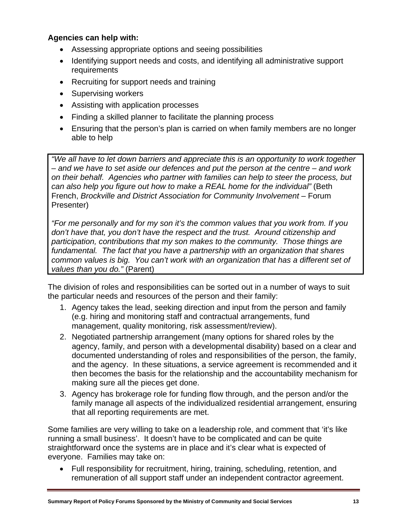## **Agencies can help with:**

- Assessing appropriate options and seeing possibilities
- Identifying support needs and costs, and identifying all administrative support requirements
- Recruiting for support needs and training
- Supervising workers
- Assisting with application processes
- Finding a skilled planner to facilitate the planning process
- Ensuring that the person's plan is carried on when family members are no longer able to help

*"We all have to let down barriers and appreciate this is an opportunity to work together – and we have to set aside our defences and put the person at the centre – and work on their behalf. Agencies who partner with families can help to steer the process, but can also help you figure out how to make a REAL home for the individual"* (Beth French, *Brockville and District Association for Community Involvement* – Forum Presenter)

*"For me personally and for my son it's the common values that you work from. If you don't have that, you don't have the respect and the trust. Around citizenship and participation, contributions that my son makes to the community. Those things are fundamental. The fact that you have a partnership with an organization that shares common values is big. You can't work with an organization that has a different set of values than you do."* (Parent)

The division of roles and responsibilities can be sorted out in a number of ways to suit the particular needs and resources of the person and their family:

- 1. Agency takes the lead, seeking direction and input from the person and family (e.g. hiring and monitoring staff and contractual arrangements, fund management, quality monitoring, risk assessment/review).
- 2. Negotiated partnership arrangement (many options for shared roles by the agency, family, and person with a developmental disability) based on a clear and documented understanding of roles and responsibilities of the person, the family, and the agency. In these situations, a service agreement is recommended and it then becomes the basis for the relationship and the accountability mechanism for making sure all the pieces get done.
- 3. Agency has brokerage role for funding flow through, and the person and/or the family manage all aspects of the individualized residential arrangement, ensuring that all reporting requirements are met.

Some families are very willing to take on a leadership role, and comment that 'it's like running a small business'. It doesn't have to be complicated and can be quite straightforward once the systems are in place and it's clear what is expected of everyone. Families may take on:

• Full responsibility for recruitment, hiring, training, scheduling, retention, and remuneration of all support staff under an independent contractor agreement.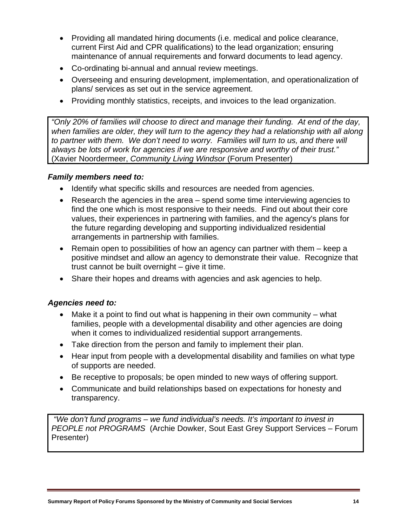- Providing all mandated hiring documents (i.e. medical and police clearance, current First Aid and CPR qualifications) to the lead organization; ensuring maintenance of annual requirements and forward documents to lead agency.
- Co-ordinating bi-annual and annual review meetings.
- Overseeing and ensuring development, implementation, and operationalization of plans/ services as set out in the service agreement.
- Providing monthly statistics, receipts, and invoices to the lead organization.

*"Only 20% of families will choose to direct and manage their funding. At end of the day,*  when families are older, they will turn to the agency they had a relationship with all along *to partner with them. We don't need to worry. Families will turn to us, and there will always be lots of work for agencies if we are responsive and worthy of their trust."*  (Xavier Noordermeer, *Community Living Windsor* (Forum Presenter)

### *Family members need to:*

- Identify what specific skills and resources are needed from agencies.
- Research the agencies in the area spend some time interviewing agencies to find the one which is most responsive to their needs. Find out about their core values, their experiences in partnering with families, and the agency's plans for the future regarding developing and supporting individualized residential arrangements in partnership with families.
- Remain open to possibilities of how an agency can partner with them keep a positive mindset and allow an agency to demonstrate their value. Recognize that trust cannot be built overnight – give it time.
- Share their hopes and dreams with agencies and ask agencies to help.

# *Agencies need to:*

- Make it a point to find out what is happening in their own community what families, people with a developmental disability and other agencies are doing when it comes to individualized residential support arrangements.
- Take direction from the person and family to implement their plan.
- Hear input from people with a developmental disability and families on what type of supports are needed.
- Be receptive to proposals; be open minded to new ways of offering support.
- Communicate and build relationships based on expectations for honesty and transparency.

 *"We don't fund programs – we fund individual's needs. It's important to invest in PEOPLE not PROGRAMS* (Archie Dowker, Sout East Grey Support Services – Forum Presenter)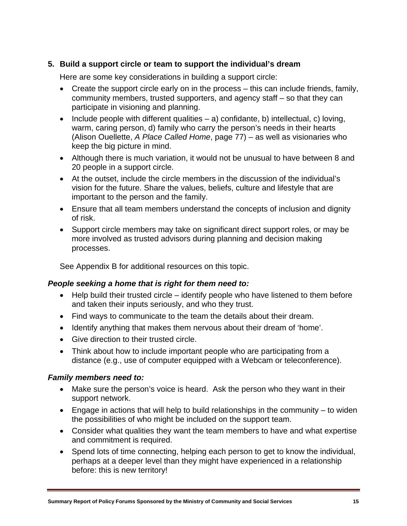## **5. Build a support circle or team to support the individual's dream**

Here are some key considerations in building a support circle:

- Create the support circle early on in the process this can include friends, family, community members, trusted supporters, and agency staff – so that they can participate in visioning and planning.
- Include people with different qualities  $-$  a) confidante, b) intellectual, c) loving, warm, caring person, d) family who carry the person's needs in their hearts (Alison Ouellette, *A Place Called Home*, page 77) – as well as visionaries who keep the big picture in mind.
- Although there is much variation, it would not be unusual to have between 8 and 20 people in a support circle.
- At the outset, include the circle members in the discussion of the individual's vision for the future. Share the values, beliefs, culture and lifestyle that are important to the person and the family.
- Ensure that all team members understand the concepts of inclusion and dignity of risk.
- Support circle members may take on significant direct support roles, or may be more involved as trusted advisors during planning and decision making processes.

See Appendix B for additional resources on this topic.

#### *People seeking a home that is right for them need to:*

- Help build their trusted circle identify people who have listened to them before and taken their inputs seriously, and who they trust.
- Find ways to communicate to the team the details about their dream.
- Identify anything that makes them nervous about their dream of 'home'.
- Give direction to their trusted circle.
- Think about how to include important people who are participating from a distance (e.g., use of computer equipped with a Webcam or teleconference).

#### *Family members need to:*

- Make sure the person's voice is heard. Ask the person who they want in their support network.
- Engage in actions that will help to build relationships in the community  $-$  to widen the possibilities of who might be included on the support team.
- Consider what qualities they want the team members to have and what expertise and commitment is required.
- Spend lots of time connecting, helping each person to get to know the individual, perhaps at a deeper level than they might have experienced in a relationship before: this is new territory!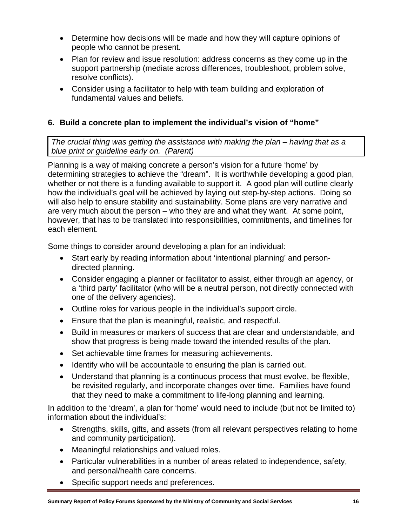- Determine how decisions will be made and how they will capture opinions of people who cannot be present.
- Plan for review and issue resolution: address concerns as they come up in the support partnership (mediate across differences, troubleshoot, problem solve, resolve conflicts).
- Consider using a facilitator to help with team building and exploration of fundamental values and beliefs.

# **6. Build a concrete plan to implement the individual's vision of "home"**

*The crucial thing was getting the assistance with making the plan – having that as a blue print or guideline early on. (Parent)* 

Planning is a way of making concrete a person's vision for a future 'home' by determining strategies to achieve the "dream". It is worthwhile developing a good plan, whether or not there is a funding available to support it. A good plan will outline clearly how the individual's goal will be achieved by laying out step-by-step actions. Doing so will also help to ensure stability and sustainability. Some plans are very narrative and are very much about the person – who they are and what they want. At some point, however, that has to be translated into responsibilities, commitments, and timelines for each element.

Some things to consider around developing a plan for an individual:

- Start early by reading information about 'intentional planning' and persondirected planning.
- Consider engaging a planner or facilitator to assist, either through an agency, or a 'third party' facilitator (who will be a neutral person, not directly connected with one of the delivery agencies).
- Outline roles for various people in the individual's support circle.
- Ensure that the plan is meaningful, realistic, and respectful.
- Build in measures or markers of success that are clear and understandable, and show that progress is being made toward the intended results of the plan.
- Set achievable time frames for measuring achievements.
- Identify who will be accountable to ensuring the plan is carried out.
- Understand that planning is a continuous process that must evolve, be flexible, be revisited regularly, and incorporate changes over time. Families have found that they need to make a commitment to life-long planning and learning.

In addition to the 'dream', a plan for 'home' would need to include (but not be limited to) information about the individual's:

- Strengths, skills, gifts, and assets (from all relevant perspectives relating to home and community participation).
- Meaningful relationships and valued roles.
- Particular vulnerabilities in a number of areas related to independence, safety, and personal/health care concerns.
- Specific support needs and preferences.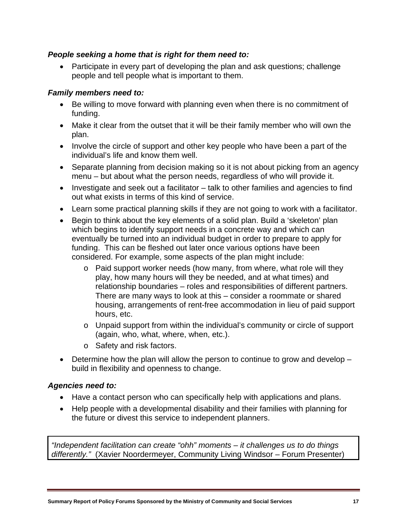#### *People seeking a home that is right for them need to:*

• Participate in every part of developing the plan and ask questions; challenge people and tell people what is important to them.

### *Family members need to:*

- Be willing to move forward with planning even when there is no commitment of funding.
- Make it clear from the outset that it will be their family member who will own the plan.
- Involve the circle of support and other key people who have been a part of the individual's life and know them well.
- Separate planning from decision making so it is not about picking from an agency menu – but about what the person needs, regardless of who will provide it.
- Investigate and seek out a facilitator talk to other families and agencies to find out what exists in terms of this kind of service.
- Learn some practical planning skills if they are not going to work with a facilitator.
- Begin to think about the key elements of a solid plan. Build a 'skeleton' plan which begins to identify support needs in a concrete way and which can eventually be turned into an individual budget in order to prepare to apply for funding. This can be fleshed out later once various options have been considered. For example, some aspects of the plan might include:
	- o Paid support worker needs (how many, from where, what role will they play, how many hours will they be needed, and at what times) and relationship boundaries – roles and responsibilities of different partners. There are many ways to look at this – consider a roommate or shared housing, arrangements of rent-free accommodation in lieu of paid support hours, etc.
	- o Unpaid support from within the individual's community or circle of support (again, who, what, where, when, etc.).
	- o Safety and risk factors.
- Determine how the plan will allow the person to continue to grow and develop build in flexibility and openness to change.

#### *Agencies need to:*

- Have a contact person who can specifically help with applications and plans.
- Help people with a developmental disability and their families with planning for the future or divest this service to independent planners.

*"Independent facilitation can create "ohh" moments – it challenges us to do things differently."* (Xavier Noordermeyer, Community Living Windsor – Forum Presenter)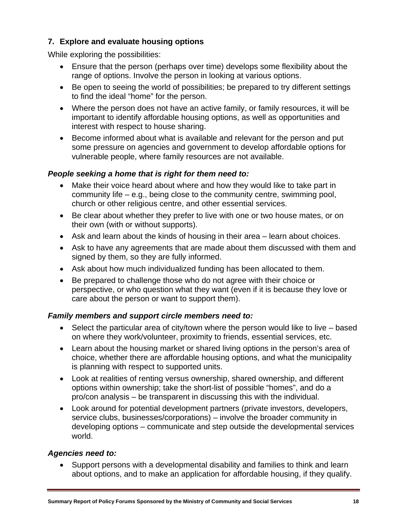# **7. Explore and evaluate housing options**

While exploring the possibilities:

- Ensure that the person (perhaps over time) develops some flexibility about the range of options. Involve the person in looking at various options.
- Be open to seeing the world of possibilities; be prepared to try different settings to find the ideal "home" for the person.
- Where the person does not have an active family, or family resources, it will be important to identify affordable housing options, as well as opportunities and interest with respect to house sharing.
- Become informed about what is available and relevant for the person and put some pressure on agencies and government to develop affordable options for vulnerable people, where family resources are not available.

### *People seeking a home that is right for them need to:*

- Make their voice heard about where and how they would like to take part in community life – e.g., being close to the community centre, swimming pool, church or other religious centre, and other essential services.
- Be clear about whether they prefer to live with one or two house mates, or on their own (with or without supports).
- Ask and learn about the kinds of housing in their area learn about choices.
- Ask to have any agreements that are made about them discussed with them and signed by them, so they are fully informed.
- Ask about how much individualized funding has been allocated to them.
- Be prepared to challenge those who do not agree with their choice or perspective, or who question what they want (even if it is because they love or care about the person or want to support them).

# *Family members and support circle members need to:*

- Select the particular area of city/town where the person would like to live based on where they work/volunteer, proximity to friends, essential services, etc.
- Learn about the housing market or shared living options in the person's area of choice, whether there are affordable housing options, and what the municipality is planning with respect to supported units.
- Look at realities of renting versus ownership, shared ownership, and different options within ownership; take the short-list of possible "homes", and do a pro/con analysis – be transparent in discussing this with the individual.
- Look around for potential development partners (private investors, developers, service clubs, businesses/corporations) – involve the broader community in developing options – communicate and step outside the developmental services world.

#### *Agencies need to:*

• Support persons with a developmental disability and families to think and learn about options, and to make an application for affordable housing, if they qualify.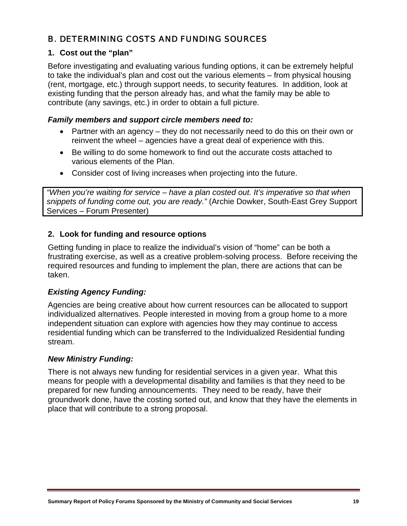# B. DETERMINING COSTS AND FUNDING SOURCES

### **1. Cost out the "plan"**

Before investigating and evaluating various funding options, it can be extremely helpful to take the individual's plan and cost out the various elements – from physical housing (rent, mortgage, etc.) through support needs, to security features. In addition, look at existing funding that the person already has, and what the family may be able to contribute (any savings, etc.) in order to obtain a full picture.

#### *Family members and support circle members need to:*

- Partner with an agency they do not necessarily need to do this on their own or reinvent the wheel – agencies have a great deal of experience with this.
- Be willing to do some homework to find out the accurate costs attached to various elements of the Plan.
- Consider cost of living increases when projecting into the future.

*"When you're waiting for service – have a plan costed out. It's imperative so that when snippets of funding come out, you are ready."* (Archie Dowker, South-East Grey Support Services – Forum Presenter)

# **2. Look for funding and resource options**

Getting funding in place to realize the individual's vision of "home" can be both a frustrating exercise, as well as a creative problem-solving process. Before receiving the required resources and funding to implement the plan, there are actions that can be taken.

# *Existing Agency Funding:*

Agencies are being creative about how current resources can be allocated to support individualized alternatives. People interested in moving from a group home to a more independent situation can explore with agencies how they may continue to access residential funding which can be transferred to the Individualized Residential funding stream.

# *New Ministry Funding:*

There is not always new funding for residential services in a given year. What this means for people with a developmental disability and families is that they need to be prepared for new funding announcements. They need to be ready, have their groundwork done, have the costing sorted out, and know that they have the elements in place that will contribute to a strong proposal.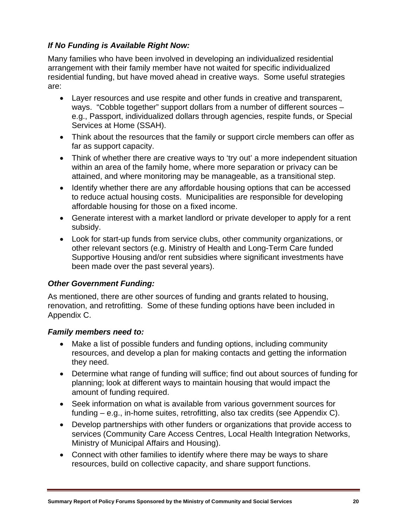# *If No Funding is Available Right Now:*

Many families who have been involved in developing an individualized residential arrangement with their family member have not waited for specific individualized residential funding, but have moved ahead in creative ways. Some useful strategies are:

- Layer resources and use respite and other funds in creative and transparent, ways. "Cobble together" support dollars from a number of different sources – e.g., Passport, individualized dollars through agencies, respite funds, or Special Services at Home (SSAH).
- Think about the resources that the family or support circle members can offer as far as support capacity.
- Think of whether there are creative ways to 'try out' a more independent situation within an area of the family home, where more separation or privacy can be attained, and where monitoring may be manageable, as a transitional step.
- Identify whether there are any affordable housing options that can be accessed to reduce actual housing costs. Municipalities are responsible for developing affordable housing for those on a fixed income.
- Generate interest with a market landlord or private developer to apply for a rent subsidy.
- Look for start-up funds from service clubs, other community organizations, or other relevant sectors (e.g. Ministry of Health and Long-Term Care funded Supportive Housing and/or rent subsidies where significant investments have been made over the past several years).

# *Other Government Funding:*

As mentioned, there are other sources of funding and grants related to housing, renovation, and retrofitting. Some of these funding options have been included in Appendix C.

# *Family members need to:*

- Make a list of possible funders and funding options, including community resources, and develop a plan for making contacts and getting the information they need.
- Determine what range of funding will suffice; find out about sources of funding for planning; look at different ways to maintain housing that would impact the amount of funding required.
- Seek information on what is available from various government sources for funding – e.g., in-home suites, retrofitting, also tax credits (see Appendix C).
- Develop partnerships with other funders or organizations that provide access to services (Community Care Access Centres, Local Health Integration Networks, Ministry of Municipal Affairs and Housing).
- Connect with other families to identify where there may be ways to share resources, build on collective capacity, and share support functions.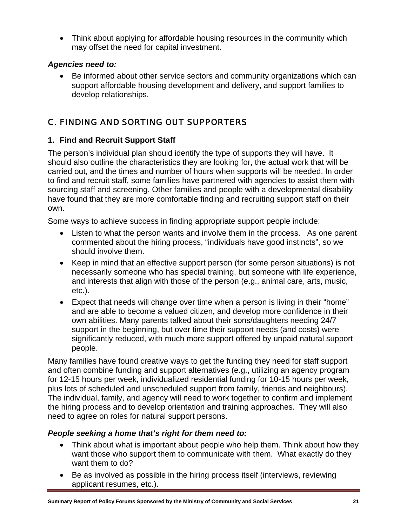• Think about applying for affordable housing resources in the community which may offset the need for capital investment.

# *Agencies need to:*

• Be informed about other service sectors and community organizations which can support affordable housing development and delivery, and support families to develop relationships.

# C. FINDING AND SORTING OUT SUPPORTERS

# **1. Find and Recruit Support Staff**

The person's individual plan should identify the type of supports they will have. It should also outline the characteristics they are looking for, the actual work that will be carried out, and the times and number of hours when supports will be needed. In order to find and recruit staff, some families have partnered with agencies to assist them with sourcing staff and screening. Other families and people with a developmental disability have found that they are more comfortable finding and recruiting support staff on their own.

Some ways to achieve success in finding appropriate support people include:

- Listen to what the person wants and involve them in the process. As one parent commented about the hiring process, "individuals have good instincts", so we should involve them.
- Keep in mind that an effective support person (for some person situations) is not necessarily someone who has special training, but someone with life experience, and interests that align with those of the person (e.g., animal care, arts, music, etc.).
- Expect that needs will change over time when a person is living in their "home" and are able to become a valued citizen, and develop more confidence in their own abilities. Many parents talked about their sons/daughters needing 24/7 support in the beginning, but over time their support needs (and costs) were significantly reduced, with much more support offered by unpaid natural support people.

Many families have found creative ways to get the funding they need for staff support and often combine funding and support alternatives (e.g., utilizing an agency program for 12-15 hours per week, individualized residential funding for 10-15 hours per week, plus lots of scheduled and unscheduled support from family, friends and neighbours). The individual, family, and agency will need to work together to confirm and implement the hiring process and to develop orientation and training approaches. They will also need to agree on roles for natural support persons.

# *People seeking a home that's right for them need to:*

- Think about what is important about people who help them. Think about how they want those who support them to communicate with them. What exactly do they want them to do?
- Be as involved as possible in the hiring process itself (interviews, reviewing applicant resumes, etc.).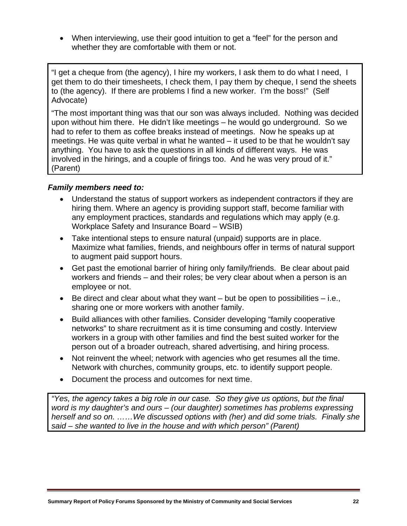• When interviewing, use their good intuition to get a "feel" for the person and whether they are comfortable with them or not.

"I get a cheque from (the agency), I hire my workers, I ask them to do what I need, I get them to do their timesheets, I check them, I pay them by cheque, I send the sheets to (the agency). If there are problems I find a new worker. I'm the boss!" (Self Advocate)

"The most important thing was that our son was always included. Nothing was decided upon without him there. He didn't like meetings – he would go underground. So we had to refer to them as coffee breaks instead of meetings. Now he speaks up at meetings. He was quite verbal in what he wanted – it used to be that he wouldn't say anything. You have to ask the questions in all kinds of different ways. He was involved in the hirings, and a couple of firings too. And he was very proud of it." (Parent)

#### *Family members need to:*

- Understand the status of support workers as independent contractors if they are hiring them. Where an agency is providing support staff, become familiar with any employment practices, standards and regulations which may apply (e.g. Workplace Safety and Insurance Board – WSIB)
- Take intentional steps to ensure natural (unpaid) supports are in place. Maximize what families, friends, and neighbours offer in terms of natural support to augment paid support hours.
- Get past the emotional barrier of hiring only family/friends. Be clear about paid workers and friends – and their roles; be very clear about when a person is an employee or not.
- $\bullet$  Be direct and clear about what they want but be open to possibilities i.e., sharing one or more workers with another family.
- Build alliances with other families. Consider developing "family cooperative networks" to share recruitment as it is time consuming and costly. Interview workers in a group with other families and find the best suited worker for the person out of a broader outreach, shared advertising, and hiring process.
- Not reinvent the wheel; network with agencies who get resumes all the time. Network with churches, community groups, etc. to identify support people.
- Document the process and outcomes for next time.

*"Yes, the agency takes a big role in our case. So they give us options, but the final word is my daughter's and ours – (our daughter) sometimes has problems expressing herself and so on. ……We discussed options with (her) and did some trials. Finally she said – she wanted to live in the house and with which person" (Parent)*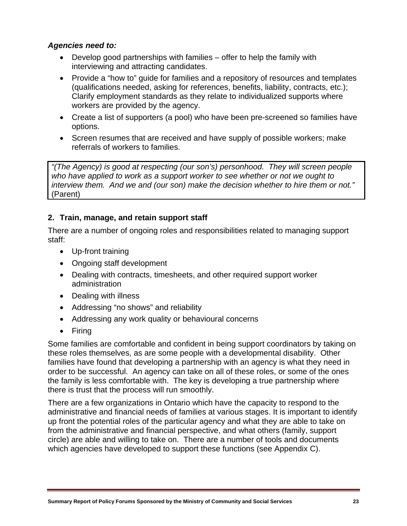## *Agencies need to:*

- Develop good partnerships with families offer to help the family with interviewing and attracting candidates.
- Provide a "how to" guide for families and a repository of resources and templates (qualifications needed, asking for references, benefits, liability, contracts, etc.); Clarify employment standards as they relate to individualized supports where workers are provided by the agency.
- Create a list of supporters (a pool) who have been pre-screened so families have options.
- Screen resumes that are received and have supply of possible workers; make referrals of workers to families.

*"(The Agency) is good at respecting (our son's) personhood. They will screen people who have applied to work as a support worker to see whether or not we ought to interview them. And we and (our son) make the decision whether to hire them or not."*  (Parent)

### **2. Train, manage, and retain support staff**

There are a number of ongoing roles and responsibilities related to managing support staff:

- Up-front training
- Ongoing staff development
- Dealing with contracts, timesheets, and other required support worker administration
- Dealing with illness
- Addressing "no shows" and reliability
- Addressing any work quality or behavioural concerns
- Firing

Some families are comfortable and confident in being support coordinators by taking on these roles themselves, as are some people with a developmental disability. Other families have found that developing a partnership with an agency is what they need in order to be successful. An agency can take on all of these roles, or some of the ones the family is less comfortable with. The key is developing a true partnership where there is trust that the process will run smoothly.

There are a few organizations in Ontario which have the capacity to respond to the administrative and financial needs of families at various stages. It is important to identify up front the potential roles of the particular agency and what they are able to take on from the administrative and financial perspective, and what others (family, support circle) are able and willing to take on. There are a number of tools and documents which agencies have developed to support these functions (see Appendix C).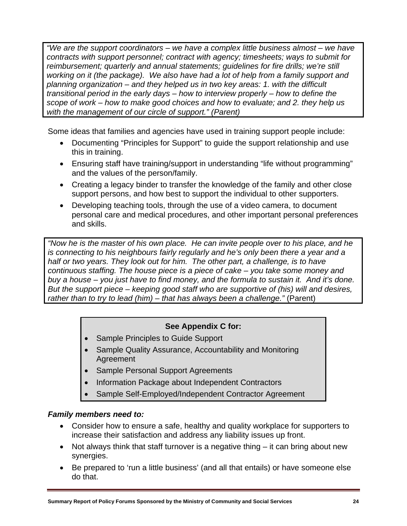*"We are the support coordinators – we have a complex little business almost – we have contracts with support personnel; contract with agency; timesheets; ways to submit for reimbursement; quarterly and annual statements; guidelines for fire drills; we're still working on it (the package). We also have had a lot of help from a family support and planning organization – and they helped us in two key areas: 1. with the difficult transitional period in the early days – how to interview properly – how to define the scope of work – how to make good choices and how to evaluate; and 2. they help us with the management of our circle of support." (Parent)* 

Some ideas that families and agencies have used in training support people include:

- Documenting "Principles for Support" to guide the support relationship and use this in training.
- Ensuring staff have training/support in understanding "life without programming" and the values of the person/family.
- Creating a legacy binder to transfer the knowledge of the family and other close support persons, and how best to support the individual to other supporters.
- Developing teaching tools, through the use of a video camera, to document personal care and medical procedures, and other important personal preferences and skills.

*"Now he is the master of his own place. He can invite people over to his place, and he is connecting to his neighbours fairly regularly and he's only been there a year and a half or two years. They look out for him. The other part, a challenge, is to have continuous staffing. The house piece is a piece of cake – you take some money and buy a house – you just have to find money, and the formula to sustain it. And it's done. But the support piece – keeping good staff who are supportive of (his) will and desires, rather than to try to lead (him) – that has always been a challenge."* (Parent)

# **See Appendix C for:**

- Sample Principles to Guide Support
- Sample Quality Assurance, Accountability and Monitoring Agreement
- Sample Personal Support Agreements
- Information Package about Independent Contractors
- Sample Self-Employed/Independent Contractor Agreement

# *Family members need to:*

- Consider how to ensure a safe, healthy and quality workplace for supporters to increase their satisfaction and address any liability issues up front.
- Not always think that staff turnover is a negative thing it can bring about new synergies.
- Be prepared to 'run a little business' (and all that entails) or have someone else do that.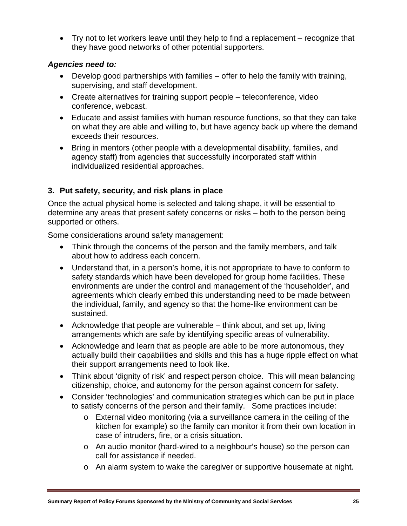• Try not to let workers leave until they help to find a replacement – recognize that they have good networks of other potential supporters.

## *Agencies need to:*

- Develop good partnerships with families offer to help the family with training, supervising, and staff development.
- Create alternatives for training support people teleconference, video conference, webcast.
- Educate and assist families with human resource functions, so that they can take on what they are able and willing to, but have agency back up where the demand exceeds their resources.
- Bring in mentors (other people with a developmental disability, families, and agency staff) from agencies that successfully incorporated staff within individualized residential approaches.

# **3. Put safety, security, and risk plans in place**

Once the actual physical home is selected and taking shape, it will be essential to determine any areas that present safety concerns or risks – both to the person being supported or others.

Some considerations around safety management:

- Think through the concerns of the person and the family members, and talk about how to address each concern.
- Understand that, in a person's home, it is not appropriate to have to conform to safety standards which have been developed for group home facilities. These environments are under the control and management of the 'householder', and agreements which clearly embed this understanding need to be made between the individual, family, and agency so that the home-like environment can be sustained.
- Acknowledge that people are vulnerable think about, and set up, living arrangements which are safe by identifying specific areas of vulnerability.
- Acknowledge and learn that as people are able to be more autonomous, they actually build their capabilities and skills and this has a huge ripple effect on what their support arrangements need to look like.
- Think about 'dignity of risk' and respect person choice. This will mean balancing citizenship, choice, and autonomy for the person against concern for safety.
- Consider 'technologies' and communication strategies which can be put in place to satisfy concerns of the person and their family. Some practices include:
	- o External video monitoring (via a surveillance camera in the ceiling of the kitchen for example) so the family can monitor it from their own location in case of intruders, fire, or a crisis situation.
	- o An audio monitor (hard-wired to a neighbour's house) so the person can call for assistance if needed.
	- o An alarm system to wake the caregiver or supportive housemate at night.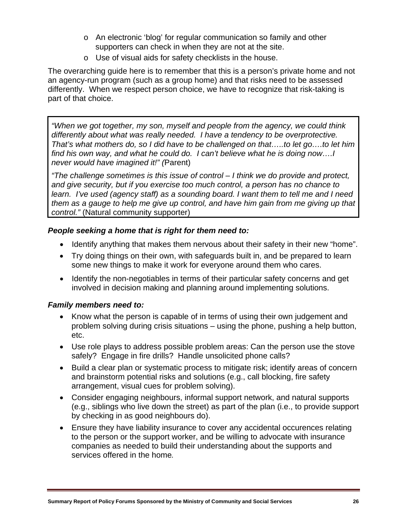- o An electronic 'blog' for regular communication so family and other supporters can check in when they are not at the site.
- o Use of visual aids for safety checklists in the house.

The overarching guide here is to remember that this is a person's private home and not an agency-run program (such as a group home) and that risks need to be assessed differently. When we respect person choice, we have to recognize that risk-taking is part of that choice.

*"When we got together, my son, myself and people from the agency, we could think differently about what was really needed. I have a tendency to be overprotective. That's what mothers do, so I did have to be challenged on that…..to let go….to let him find his own way, and what he could do. I can't believe what he is doing now….I never would have imagined it!" (*Parent)

*"The challenge sometimes is this issue of control – I think we do provide and protect, and give security, but if you exercise too much control, a person has no chance to learn. I've used (agency staff) as a sounding board. I want them to tell me and I need them as a gauge to help me give up control, and have him gain from me giving up that control."* (Natural community supporter)

### *People seeking a home that is right for them need to:*

- Identify anything that makes them nervous about their safety in their new "home".
- Try doing things on their own, with safeguards built in, and be prepared to learn some new things to make it work for everyone around them who cares.
- Identify the non-negotiables in terms of their particular safety concerns and get involved in decision making and planning around implementing solutions.

#### *Family members need to:*

- Know what the person is capable of in terms of using their own judgement and problem solving during crisis situations – using the phone, pushing a help button, etc.
- Use role plays to address possible problem areas: Can the person use the stove safely? Engage in fire drills? Handle unsolicited phone calls?
- Build a clear plan or systematic process to mitigate risk; identify areas of concern and brainstorm potential risks and solutions (e.g., call blocking, fire safety arrangement, visual cues for problem solving).
- Consider engaging neighbours, informal support network, and natural supports (e.g., siblings who live down the street) as part of the plan (i.e., to provide support by checking in as good neighbours do).
- Ensure they have liability insurance to cover any accidental occurences relating to the person or the support worker, and be willing to advocate with insurance companies as needed to build their understanding about the supports and services offered in the home**.**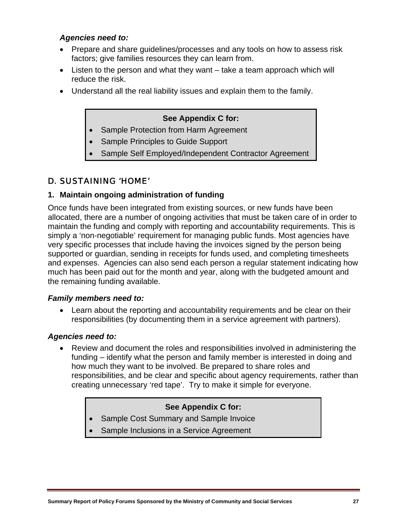### *Agencies need to:*

- Prepare and share guidelines/processes and any tools on how to assess risk factors; give families resources they can learn from.
- Listen to the person and what they want take a team approach which will reduce the risk.
- Understand all the real liability issues and explain them to the family.

# **See Appendix C for:**

- Sample Protection from Harm Agreement
- Sample Principles to Guide Support
- Sample Self Employed/Independent Contractor Agreement

# D. SUSTAINING 'HOME'

# **1. Maintain ongoing administration of funding**

Once funds have been integrated from existing sources, or new funds have been allocated, there are a number of ongoing activities that must be taken care of in order to maintain the funding and comply with reporting and accountability requirements. This is simply a 'non-negotiable' requirement for managing public funds. Most agencies have very specific processes that include having the invoices signed by the person being supported or guardian, sending in receipts for funds used, and completing timesheets and expenses. Agencies can also send each person a regular statement indicating how much has been paid out for the month and year, along with the budgeted amount and the remaining funding available.

#### *Family members need to:*

• Learn about the reporting and accountability requirements and be clear on their responsibilities (by documenting them in a service agreement with partners).

#### *Agencies need to:*

• Review and document the roles and responsibilities involved in administering the funding – identify what the person and family member is interested in doing and how much they want to be involved. Be prepared to share roles and responsibilities, and be clear and specific about agency requirements, rather than creating unnecessary 'red tape'. Try to make it simple for everyone.

#### **See Appendix C for:**

- Sample Cost Summary and Sample Invoice
- Sample Inclusions in a Service Agreement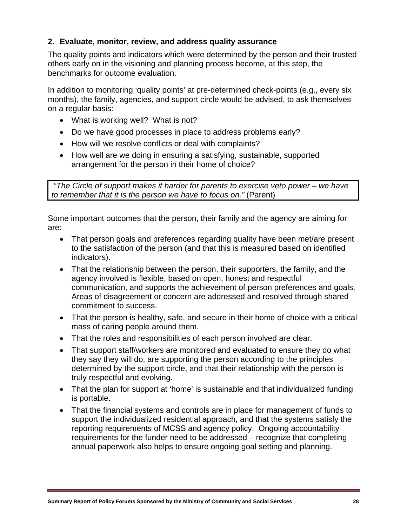# **2. Evaluate, monitor, review, and address quality assurance**

The quality points and indicators which were determined by the person and their trusted others early on in the visioning and planning process become, at this step, the benchmarks for outcome evaluation.

In addition to monitoring 'quality points' at pre-determined check-points (e.g., every six months), the family, agencies, and support circle would be advised, to ask themselves on a regular basis:

- What is working well? What is not?
- Do we have good processes in place to address problems early?
- How will we resolve conflicts or deal with complaints?
- How well are we doing in ensuring a satisfying, sustainable, supported arrangement for the person in their home of choice?

 *"The Circle of support makes it harder for parents to exercise veto power – we have to remember that it is the person we have to focus on."* (Parent)

Some important outcomes that the person, their family and the agency are aiming for are:

- That person goals and preferences regarding quality have been met/are present to the satisfaction of the person (and that this is measured based on identified indicators).
- That the relationship between the person, their supporters, the family, and the agency involved is flexible, based on open, honest and respectful communication, and supports the achievement of person preferences and goals. Areas of disagreement or concern are addressed and resolved through shared commitment to success.
- That the person is healthy, safe, and secure in their home of choice with a critical mass of caring people around them.
- That the roles and responsibilities of each person involved are clear.
- That support staff/workers are monitored and evaluated to ensure they do what they say they will do, are supporting the person according to the principles determined by the support circle, and that their relationship with the person is truly respectful and evolving.
- That the plan for support at 'home' is sustainable and that individualized funding is portable.
- That the financial systems and controls are in place for management of funds to support the individualized residential approach, and that the systems satisfy the reporting requirements of MCSS and agency policy. Ongoing accountability requirements for the funder need to be addressed – recognize that completing annual paperwork also helps to ensure ongoing goal setting and planning.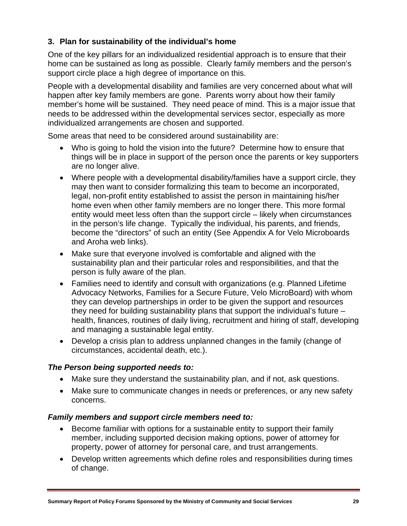# **3. Plan for sustainability of the individual's home**

One of the key pillars for an individualized residential approach is to ensure that their home can be sustained as long as possible. Clearly family members and the person's support circle place a high degree of importance on this.

People with a developmental disability and families are very concerned about what will happen after key family members are gone. Parents worry about how their family member's home will be sustained. They need peace of mind. This is a major issue that needs to be addressed within the developmental services sector, especially as more individualized arrangements are chosen and supported.

Some areas that need to be considered around sustainability are:

- Who is going to hold the vision into the future? Determine how to ensure that things will be in place in support of the person once the parents or key supporters are no longer alive.
- Where people with a developmental disability/families have a support circle, they may then want to consider formalizing this team to become an incorporated, legal, non-profit entity established to assist the person in maintaining his/her home even when other family members are no longer there. This more formal entity would meet less often than the support circle – likely when circumstances in the person's life change. Typically the individual, his parents, and friends, become the "directors" of such an entity (See Appendix A for Velo Microboards and Aroha web links).
- Make sure that everyone involved is comfortable and aligned with the sustainability plan and their particular roles and responsibilities, and that the person is fully aware of the plan.
- Families need to identify and consult with organizations (e.g. Planned Lifetime Advocacy Networks, Families for a Secure Future, Velo MicroBoard) with whom they can develop partnerships in order to be given the support and resources they need for building sustainability plans that support the individual's future – health, finances, routines of daily living, recruitment and hiring of staff, developing and managing a sustainable legal entity.
- Develop a crisis plan to address unplanned changes in the family (change of circumstances, accidental death, etc.).

#### *The Person being supported needs to:*

- Make sure they understand the sustainability plan, and if not, ask questions.
- Make sure to communicate changes in needs or preferences, or any new safety concerns.

#### *Family members and support circle members need to:*

- Become familiar with options for a sustainable entity to support their family member, including supported decision making options, power of attorney for property, power of attorney for personal care, and trust arrangements.
- Develop written agreements which define roles and responsibilities during times of change.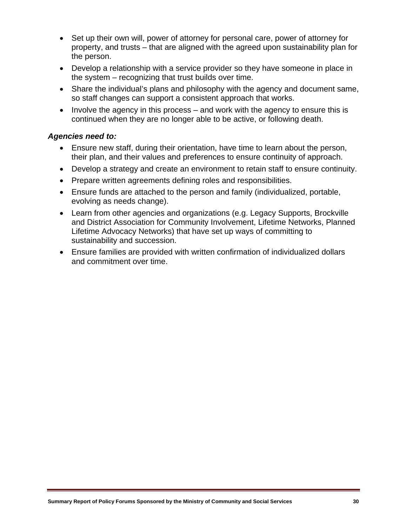- Set up their own will, power of attorney for personal care, power of attorney for property, and trusts – that are aligned with the agreed upon sustainability plan for the person.
- Develop a relationship with a service provider so they have someone in place in the system – recognizing that trust builds over time.
- Share the individual's plans and philosophy with the agency and document same, so staff changes can support a consistent approach that works.
- Involve the agency in this process and work with the agency to ensure this is continued when they are no longer able to be active, or following death.

### *Agencies need to:*

- Ensure new staff, during their orientation, have time to learn about the person, their plan, and their values and preferences to ensure continuity of approach.
- Develop a strategy and create an environment to retain staff to ensure continuity.
- Prepare written agreements defining roles and responsibilities.
- Ensure funds are attached to the person and family (individualized, portable, evolving as needs change).
- Learn from other agencies and organizations (e.g. Legacy Supports, Brockville and District Association for Community Involvement, Lifetime Networks, Planned Lifetime Advocacy Networks) that have set up ways of committing to sustainability and succession.
- Ensure families are provided with written confirmation of individualized dollars and commitment over time.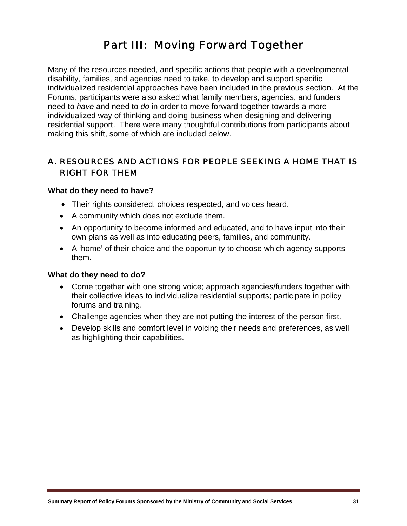# Part III: Moving Forward Together

Many of the resources needed, and specific actions that people with a developmental disability, families, and agencies need to take, to develop and support specific individualized residential approaches have been included in the previous section. At the Forums, participants were also asked what family members, agencies, and funders need to *have* and need to *do* in order to move forward together towards a more individualized way of thinking and doing business when designing and delivering residential support. There were many thoughtful contributions from participants about making this shift, some of which are included below.

# A. RESOURCES AND ACTIONS FOR PEOPLE SEEKING A HOME THAT IS RIGHT FOR THEM

#### **What do they need to have?**

- Their rights considered, choices respected, and voices heard.
- A community which does not exclude them.
- An opportunity to become informed and educated, and to have input into their own plans as well as into educating peers, families, and community.
- A 'home' of their choice and the opportunity to choose which agency supports them.

#### **What do they need to do?**

- Come together with one strong voice; approach agencies/funders together with their collective ideas to individualize residential supports; participate in policy forums and training.
- Challenge agencies when they are not putting the interest of the person first.
- Develop skills and comfort level in voicing their needs and preferences, as well as highlighting their capabilities.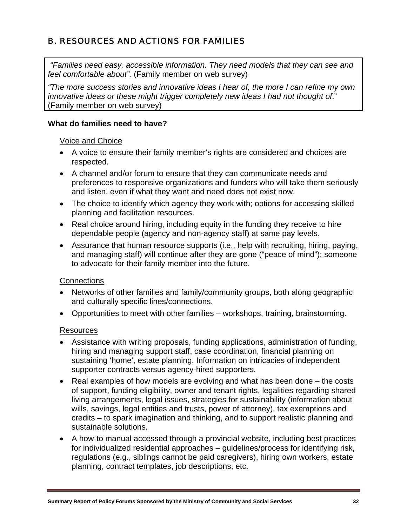# B. RESOURCES AND ACTIONS FOR FAMILIES

 *"Families need easy, accessible information. They need models that they can see and feel comfortable about".* (Family member on web survey)

*"The more success stories and innovative ideas I hear of, the more I can refine my own innovative ideas or these might trigger completely new ideas I had not thought of*." (Family member on web survey)

#### **What do families need to have?**

#### Voice and Choice

- A voice to ensure their family member's rights are considered and choices are respected.
- A channel and/or forum to ensure that they can communicate needs and preferences to responsive organizations and funders who will take them seriously and listen, even if what they want and need does not exist now.
- The choice to identify which agency they work with; options for accessing skilled planning and facilitation resources.
- Real choice around hiring, including equity in the funding they receive to hire dependable people (agency and non-agency staff) at same pay levels.
- Assurance that human resource supports (i.e., help with recruiting, hiring, paying, and managing staff) will continue after they are gone ("peace of mind"); someone to advocate for their family member into the future.

#### **Connections**

- Networks of other families and family/community groups, both along geographic and culturally specific lines/connections.
- Opportunities to meet with other families workshops, training, brainstorming.

#### Resources

- Assistance with writing proposals, funding applications, administration of funding, hiring and managing support staff, case coordination, financial planning on sustaining 'home', estate planning. Information on intricacies of independent supporter contracts versus agency-hired supporters.
- Real examples of how models are evolving and what has been done the costs of support, funding eligibility, owner and tenant rights, legalities regarding shared living arrangements, legal issues, strategies for sustainability (information about wills, savings, legal entities and trusts, power of attorney), tax exemptions and credits – to spark imagination and thinking, and to support realistic planning and sustainable solutions.
- A how-to manual accessed through a provincial website, including best practices for individualized residential approaches – guidelines/process for identifying risk, regulations (e.g., siblings cannot be paid caregivers), hiring own workers, estate planning, contract templates, job descriptions, etc.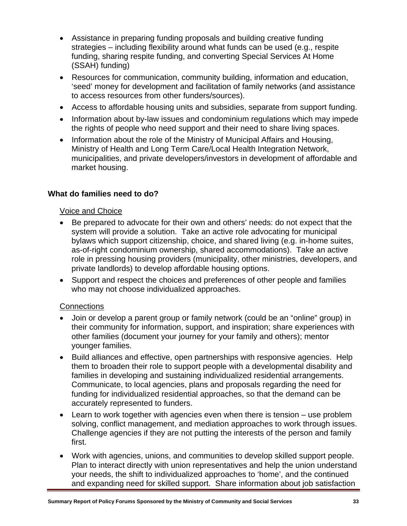- Assistance in preparing funding proposals and building creative funding strategies – including flexibility around what funds can be used (e.g., respite funding, sharing respite funding, and converting Special Services At Home (SSAH) funding)
- Resources for communication, community building, information and education, 'seed' money for development and facilitation of family networks (and assistance to access resources from other funders/sources).
- Access to affordable housing units and subsidies, separate from support funding.
- Information about by-law issues and condominium regulations which may impede the rights of people who need support and their need to share living spaces.
- Information about the role of the Ministry of Municipal Affairs and Housing, Ministry of Health and Long Term Care/Local Health Integration Network, municipalities, and private developers/investors in development of affordable and market housing.

# **What do families need to do?**

#### Voice and Choice

- Be prepared to advocate for their own and others' needs: do not expect that the system will provide a solution. Take an active role advocating for municipal bylaws which support citizenship, choice, and shared living (e.g. in-home suites, as-of-right condominium ownership, shared accommodations). Take an active role in pressing housing providers (municipality, other ministries, developers, and private landlords) to develop affordable housing options.
- Support and respect the choices and preferences of other people and families who may not choose individualized approaches.

#### **Connections**

- Join or develop a parent group or family network (could be an "online" group) in their community for information, support, and inspiration; share experiences with other families (document your journey for your family and others); mentor younger families.
- Build alliances and effective, open partnerships with responsive agencies. Help them to broaden their role to support people with a developmental disability and families in developing and sustaining individualized residential arrangements. Communicate, to local agencies, plans and proposals regarding the need for funding for individualized residential approaches, so that the demand can be accurately represented to funders.
- Learn to work together with agencies even when there is tension use problem solving, conflict management, and mediation approaches to work through issues. Challenge agencies if they are not putting the interests of the person and family first.
- Work with agencies, unions, and communities to develop skilled support people. Plan to interact directly with union representatives and help the union understand your needs, the shift to individualized approaches to 'home', and the continued and expanding need for skilled support. Share information about job satisfaction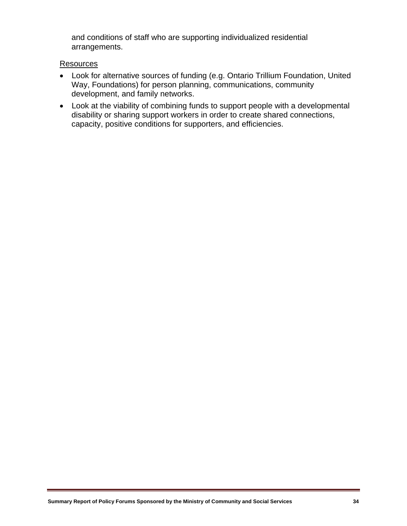and conditions of staff who are supporting individualized residential arrangements.

#### **Resources**

- Look for alternative sources of funding (e.g. Ontario Trillium Foundation, United Way, Foundations) for person planning, communications, community development, and family networks.
- Look at the viability of combining funds to support people with a developmental disability or sharing support workers in order to create shared connections, capacity, positive conditions for supporters, and efficiencies.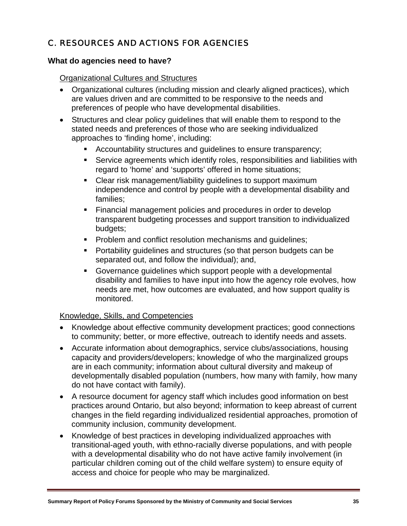# C. RESOURCES AND ACTIONS FOR AGENCIES

#### **What do agencies need to have?**

#### Organizational Cultures and Structures

- Organizational cultures (including mission and clearly aligned practices), which are values driven and are committed to be responsive to the needs and preferences of people who have developmental disabilities.
- Structures and clear policy guidelines that will enable them to respond to the stated needs and preferences of those who are seeking individualized approaches to 'finding home', including:
	- Accountability structures and guidelines to ensure transparency;
	- Service agreements which identify roles, responsibilities and liabilities with regard to 'home' and 'supports' offered in home situations;
	- Clear risk management/liability guidelines to support maximum independence and control by people with a developmental disability and families;
	- **Financial management policies and procedures in order to develop** transparent budgeting processes and support transition to individualized budgets;
	- **Problem and conflict resolution mechanisms and quidelines;**
	- Portability guidelines and structures (so that person budgets can be separated out, and follow the individual); and,
	- Governance guidelines which support people with a developmental disability and families to have input into how the agency role evolves, how needs are met, how outcomes are evaluated, and how support quality is monitored.

#### Knowledge, Skills, and Competencies

- Knowledge about effective community development practices; good connections to community; better, or more effective, outreach to identify needs and assets.
- Accurate information about demographics, service clubs/associations, housing capacity and providers/developers; knowledge of who the marginalized groups are in each community; information about cultural diversity and makeup of developmentally disabled population (numbers, how many with family, how many do not have contact with family).
- A resource document for agency staff which includes good information on best practices around Ontario, but also beyond; information to keep abreast of current changes in the field regarding individualized residential approaches, promotion of community inclusion, community development.
- Knowledge of best practices in developing individualized approaches with transitional-aged youth, with ethno-racially diverse populations, and with people with a developmental disability who do not have active family involvement (in particular children coming out of the child welfare system) to ensure equity of access and choice for people who may be marginalized.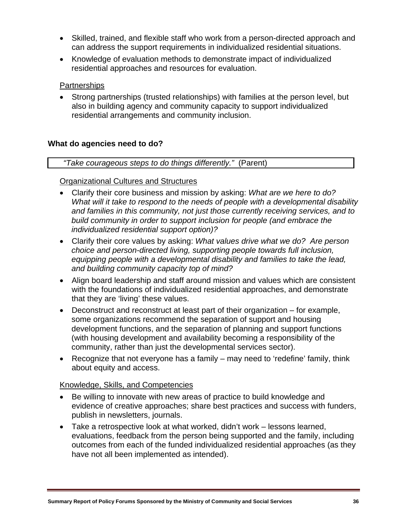- Skilled, trained, and flexible staff who work from a person-directed approach and can address the support requirements in individualized residential situations.
- Knowledge of evaluation methods to demonstrate impact of individualized residential approaches and resources for evaluation.

#### **Partnerships**

• Strong partnerships (trusted relationships) with families at the person level, but also in building agency and community capacity to support individualized residential arrangements and community inclusion.

# **What do agencies need to do?**

#### *"Take courageous steps to do things differently."* (Parent)

#### Organizational Cultures and Structures

- Clarify their core business and mission by asking: *What are we here to do? What will it take to respond to the needs of people with a developmental disability and families in this community, not just those currently receiving services, and to build community in order to support inclusion for people (and embrace the individualized residential support option)?*
- Clarify their core values by asking: *What values drive what we do? Are person choice and person-directed living, supporting people towards full inclusion, equipping people with a developmental disability and families to take the lead, and building community capacity top of mind?*
- Align board leadership and staff around mission and values which are consistent with the foundations of individualized residential approaches, and demonstrate that they are 'living' these values.
- Deconstruct and reconstruct at least part of their organization for example, some organizations recommend the separation of support and housing development functions, and the separation of planning and support functions (with housing development and availability becoming a responsibility of the community, rather than just the developmental services sector).
- Recognize that not everyone has a family may need to 'redefine' family, think about equity and access.

#### Knowledge, Skills, and Competencies

- Be willing to innovate with new areas of practice to build knowledge and evidence of creative approaches; share best practices and success with funders, publish in newsletters, journals.
- Take a retrospective look at what worked, didn't work lessons learned, evaluations, feedback from the person being supported and the family, including outcomes from each of the funded individualized residential approaches (as they have not all been implemented as intended).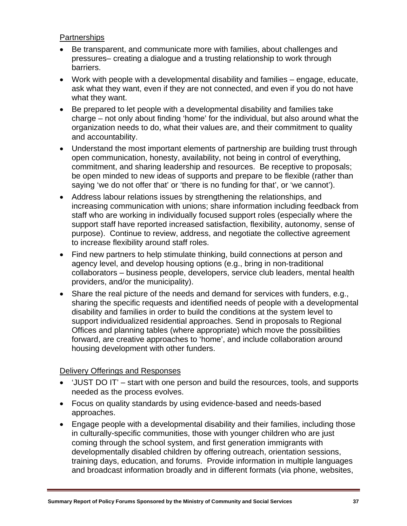### **Partnerships**

- Be transparent, and communicate more with families, about challenges and pressures– creating a dialogue and a trusting relationship to work through barriers.
- Work with people with a developmental disability and families engage, educate, ask what they want, even if they are not connected, and even if you do not have what they want.
- Be prepared to let people with a developmental disability and families take charge – not only about finding 'home' for the individual, but also around what the organization needs to do, what their values are, and their commitment to quality and accountability.
- Understand the most important elements of partnership are building trust through open communication, honesty, availability, not being in control of everything, commitment, and sharing leadership and resources. Be receptive to proposals; be open minded to new ideas of supports and prepare to be flexible (rather than saying 'we do not offer that' or 'there is no funding for that', or 'we cannot').
- Address labour relations issues by strengthening the relationships, and increasing communication with unions; share information including feedback from staff who are working in individually focused support roles (especially where the support staff have reported increased satisfaction, flexibility, autonomy, sense of purpose). Continue to review, address, and negotiate the collective agreement to increase flexibility around staff roles.
- Find new partners to help stimulate thinking, build connections at person and agency level, and develop housing options (e.g., bring in non-traditional collaborators – business people, developers, service club leaders, mental health providers, and/or the municipality).
- Share the real picture of the needs and demand for services with funders, e.g., sharing the specific requests and identified needs of people with a developmental disability and families in order to build the conditions at the system level to support individualized residential approaches. Send in proposals to Regional Offices and planning tables (where appropriate) which move the possibilities forward, are creative approaches to 'home', and include collaboration around housing development with other funders.

#### Delivery Offerings and Responses

- 'JUST DO IT' start with one person and build the resources, tools, and supports needed as the process evolves.
- Focus on quality standards by using evidence-based and needs-based approaches.
- Engage people with a developmental disability and their families, including those in culturally-specific communities, those with younger children who are just coming through the school system, and first generation immigrants with developmentally disabled children by offering outreach, orientation sessions, training days, education, and forums. Provide information in multiple languages and broadcast information broadly and in different formats (via phone, websites,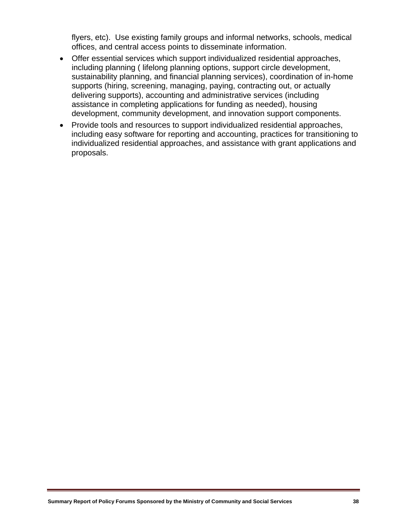flyers, etc). Use existing family groups and informal networks, schools, medical offices, and central access points to disseminate information.

- Offer essential services which support individualized residential approaches, including planning ( lifelong planning options, support circle development, sustainability planning, and financial planning services), coordination of in-home supports (hiring, screening, managing, paying, contracting out, or actually delivering supports), accounting and administrative services (including assistance in completing applications for funding as needed), housing development, community development, and innovation support components.
- Provide tools and resources to support individualized residential approaches, including easy software for reporting and accounting, practices for transitioning to individualized residential approaches, and assistance with grant applications and proposals.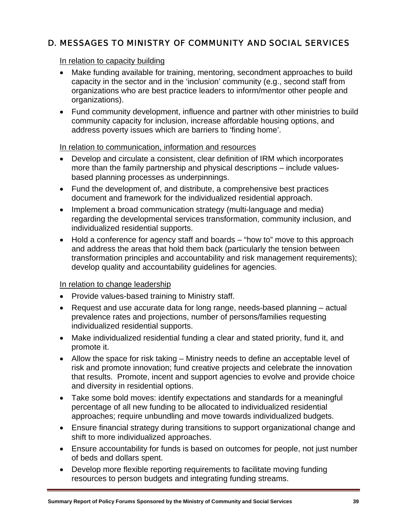# D. MESSAGES TO MINISTRY OF COMMUNITY AND SOCIAL SERVICES

#### In relation to capacity building

- Make funding available for training, mentoring, secondment approaches to build capacity in the sector and in the 'inclusion' community (e.g., second staff from organizations who are best practice leaders to inform/mentor other people and organizations).
- Fund community development, influence and partner with other ministries to build community capacity for inclusion, increase affordable housing options, and address poverty issues which are barriers to 'finding home'.

#### In relation to communication, information and resources

- Develop and circulate a consistent, clear definition of IRM which incorporates more than the family partnership and physical descriptions – include valuesbased planning processes as underpinnings.
- Fund the development of, and distribute, a comprehensive best practices document and framework for the individualized residential approach.
- Implement a broad communication strategy (multi-language and media) regarding the developmental services transformation, community inclusion, and individualized residential supports.
- Hold a conference for agency staff and boards "how to" move to this approach and address the areas that hold them back (particularly the tension between transformation principles and accountability and risk management requirements); develop quality and accountability guidelines for agencies.

#### In relation to change leadership

- Provide values-based training to Ministry staff.
- Request and use accurate data for long range, needs-based planning actual prevalence rates and projections, number of persons/families requesting individualized residential supports.
- Make individualized residential funding a clear and stated priority, fund it, and promote it.
- Allow the space for risk taking Ministry needs to define an acceptable level of risk and promote innovation; fund creative projects and celebrate the innovation that results. Promote, incent and support agencies to evolve and provide choice and diversity in residential options.
- Take some bold moves: identify expectations and standards for a meaningful percentage of all new funding to be allocated to individualized residential approaches; require unbundling and move towards individualized budgets.
- Ensure financial strategy during transitions to support organizational change and shift to more individualized approaches.
- Ensure accountability for funds is based on outcomes for people, not just number of beds and dollars spent.
- Develop more flexible reporting requirements to facilitate moving funding resources to person budgets and integrating funding streams.